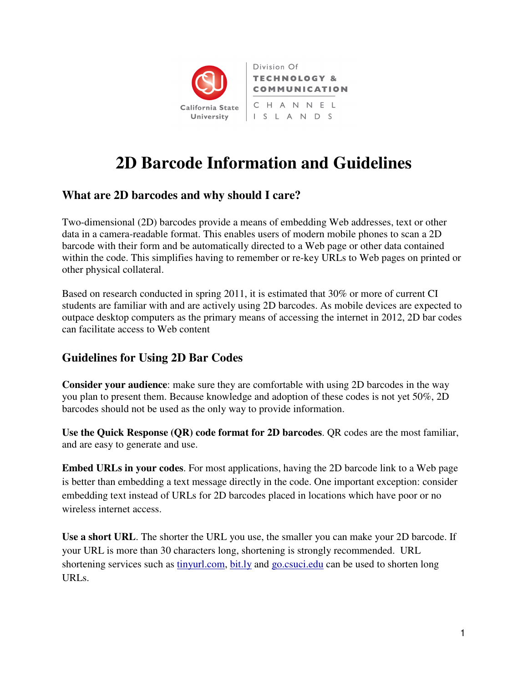

# **2D Barcode Information and Guidelines**

## **What are 2D barcodes and why should I care?**

Two-dimensional (2D) barcodes provide a means of embedding Web addresses, text or other data in a camera-readable format. This enables users of modern mobile phones to scan a 2D barcode with their form and be automatically directed to a Web page or other data contained within the code. This simplifies having to remember or re-key URLs to Web pages on printed or other physical collateral.

Based on research conducted in spring 2011, it is estimated that 30% or more of current CI students are familiar with and are actively using 2D barcodes. As mobile devices are expected to outpace desktop computers as the primary means of accessing the internet in 2012, 2D bar codes can facilitate access to Web content

# **Guidelines for Using 2D Bar Codes**

**Consider your audience**: make sure they are comfortable with using 2D barcodes in the way you plan to present them. Because knowledge and adoption of these codes is not yet 50%, 2D barcodes should not be used as the only way to provide information.

**Use the Quick Response (QR) code format for 2D barcodes**. QR codes are the most familiar, and are easy to generate and use.

**Embed URLs in your codes**. For most applications, having the 2D barcode link to a Web page is better than embedding a text message directly in the code. One important exception: consider embedding text instead of URLs for 2D barcodes placed in locations which have poor or no wireless internet access.

**Use a short URL**. The shorter the URL you use, the smaller you can make your 2D barcode. If your URL is more than 30 characters long, shortening is strongly recommended. URL shortening services such as tinyurl.com, bit.ly and go.csuci.edu can be used to shorten long URLs.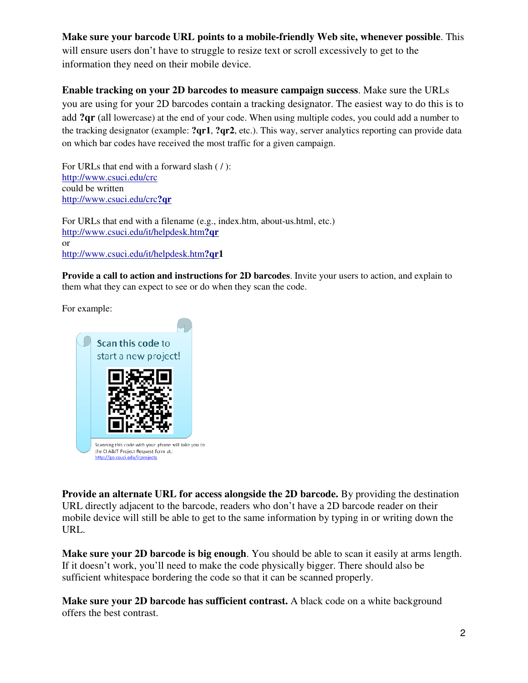### **Make sure your barcode URL points to a mobile-friendly Web site, whenever possible**. This

will ensure users don't have to struggle to resize text or scroll excessively to get to the information they need on their mobile device.

### **Enable tracking on your 2D barcodes to measure campaign success**. Make sure the URLs

you are using for your 2D barcodes contain a tracking designator. The easiest way to do this is to add **?qr** (all lowercase) at the end of your code. When using multiple codes, you could add a number to the tracking designator (example: **?qr1**, **?qr2**, etc.). This way, server analytics reporting can provide data on which bar codes have received the most traffic for a given campaign.

For URLs that end with a forward slash ( / ): http://www.csuci.edu/crc could be written http://www.csuci.edu/crc**?qr**

For URLs that end with a filename (e.g., index.htm, about-us.html, etc.) http://www.csuci.edu/it/helpdesk.htm**?qr** or http://www.csuci.edu/it/helpdesk.htm**?qr1**

**Provide a call to action and instructions for 2D barcodes**. Invite your users to action, and explain to them what they can expect to see or do when they scan the code.

For example:



**Provide an alternate URL for access alongside the 2D barcode.** By providing the destination URL directly adjacent to the barcode, readers who don't have a 2D barcode reader on their mobile device will still be able to get to the same information by typing in or writing down the URL.

**Make sure your 2D barcode is big enough**. You should be able to scan it easily at arms length. If it doesn't work, you'll need to make the code physically bigger. There should also be sufficient whitespace bordering the code so that it can be scanned properly.

**Make sure your 2D barcode has sufficient contrast.** A black code on a white background offers the best contrast.